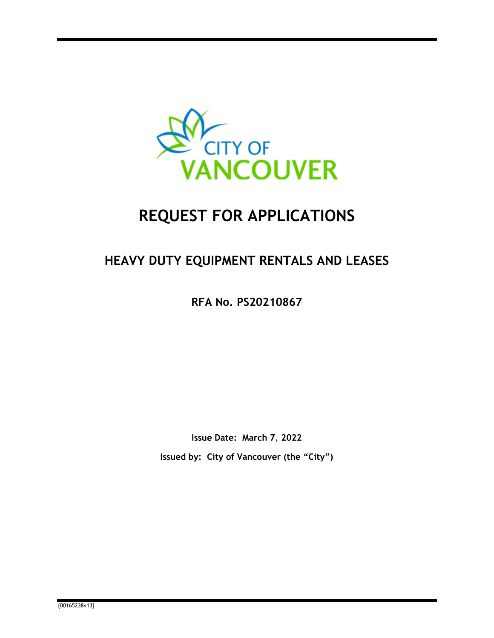

# **REQUEST FOR APPLICATIONS**

## **HEAVY DUTY EQUIPMENT RENTALS AND LEASES**

**RFA No. PS20210867**

**Issue Date: March 7**, **2022 Issued by: City of Vancouver (the "City")**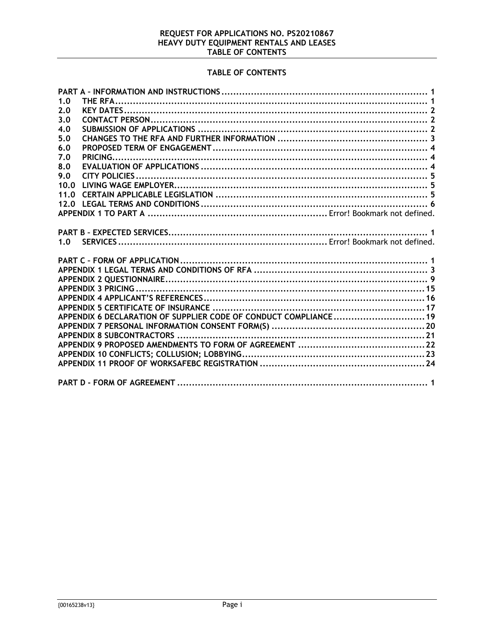## REQUEST FOR APPLICATIONS NO. PS20210867<br>HEAVY DUTY EQUIPMENT RENTALS AND LEASES TABLE OF CONTENTS

## TABLE OF CONTENTS

| 1.0                                                              |  |
|------------------------------------------------------------------|--|
| 2.0                                                              |  |
| 3.0                                                              |  |
| 4.0                                                              |  |
| 5.0                                                              |  |
| 6.0                                                              |  |
| 7.0                                                              |  |
| 8.0                                                              |  |
| 9.0                                                              |  |
| 10.0                                                             |  |
| 11.0                                                             |  |
| 12.0                                                             |  |
|                                                                  |  |
|                                                                  |  |
|                                                                  |  |
|                                                                  |  |
| 1.0                                                              |  |
|                                                                  |  |
|                                                                  |  |
|                                                                  |  |
|                                                                  |  |
|                                                                  |  |
|                                                                  |  |
|                                                                  |  |
|                                                                  |  |
| APPENDIX 6 DECLARATION OF SUPPLIER CODE OF CONDUCT COMPLIANCE 19 |  |
|                                                                  |  |
|                                                                  |  |
|                                                                  |  |
|                                                                  |  |
|                                                                  |  |
|                                                                  |  |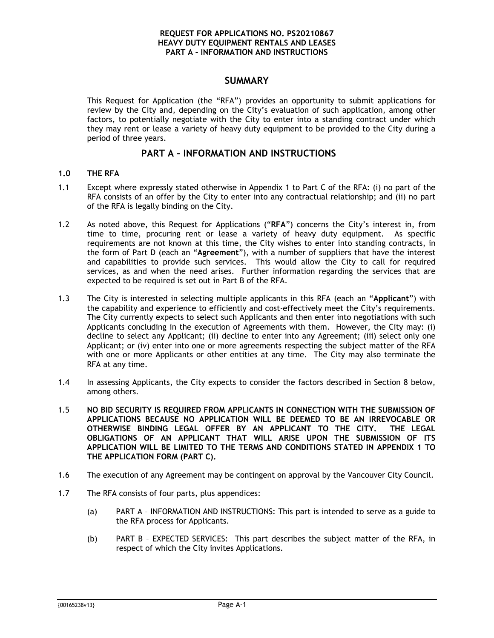#### **SUMMARY**

This Request for Application (the "RFA") provides an opportunity to submit applications for review by the City and, depending on the City's evaluation of such application, among other factors, to potentially negotiate with the City to enter into a standing contract under which they may rent or lease a variety of heavy duty equipment to be provided to the City during a period of three years.

### <span id="page-2-0"></span>**PART A – INFORMATION AND INSTRUCTIONS**

#### <span id="page-2-1"></span>**1.0 THE RFA**

- 1.1 Except where expressly stated otherwise in [Appendix 1](#page-11-0) to [Part C](#page-9-0) of the RFA: (i) no part of the RFA consists of an offer by the City to enter into any contractual relationship; and (ii) no part of the RFA is legally binding on the City.
- 1.2 As noted above, this Request for Applications ("**RFA**") concerns the City's interest in, from time to time, procuring rent or lease a variety of heavy duty equipment. As specific requirements are not known at this time, the City wishes to enter into standing contracts, in the form of [Part D](#page-33-0) (each an "**Agreement**"), with a number of suppliers that have the interest and capabilities to provide such services. This would allow the City to call for required services, as and when the need arises. Further information regarding the services that are expected to be required is set out in [Part B](#page-8-0) of the RFA.
- 1.3 The City is interested in selecting multiple applicants in this RFA (each an "**Applicant**") with the capability and experience to efficiently and cost-effectively meet the City's requirements. The City currently expects to select such Applicants and then enter into negotiations with such Applicants concluding in the execution of Agreements with them. However, the City may: (i) decline to select any Applicant; (ii) decline to enter into any Agreement; (iii) select only one Applicant; or (iv) enter into one or more agreements respecting the subject matter of the RFA with one or more Applicants or other entities at any time. The City may also terminate the RFA at any time.
- 1.4 In assessing Applicants, the City expects to consider the factors described in Section [8](#page-14-0) below, among others.
- 1.5 **NO BID SECURITY IS REQUIRED FROM APPLICANTS IN CONNECTION WITH THE SUBMISSION OF APPLICATIONS BECAUSE NO APPLICATION WILL BE DEEMED TO BE AN IRREVOCABLE OR OTHERWISE BINDING LEGAL OFFER BY AN APPLICANT TO THE CITY. THE LEGAL OBLIGATIONS OF AN APPLICANT THAT WILL ARISE UPON THE SUBMISSION OF ITS APPLICATION WILL BE LIMITED TO THE TERMS AND CONDITIONS STATED IN APPENDIX 1 TO THE APPLICATION FORM [\(PART C\)](#page-9-0).**
- 1.6 The execution of any Agreement may be contingent on approval by the Vancouver City Council.
- 1.7 The RFA consists of four parts, plus appendices:
	- (a) [PART A](#page-2-0) [INFORMATION AND INSTRUCTIONS:](#page-2-0) This part is intended to serve as a guide to the RFA process for Applicants.
	- (b) [PART B](#page-8-0) [EXPECTED SERVICES:](#page-8-0) This part describes the subject matter of the RFA, in respect of which the City invites Applications.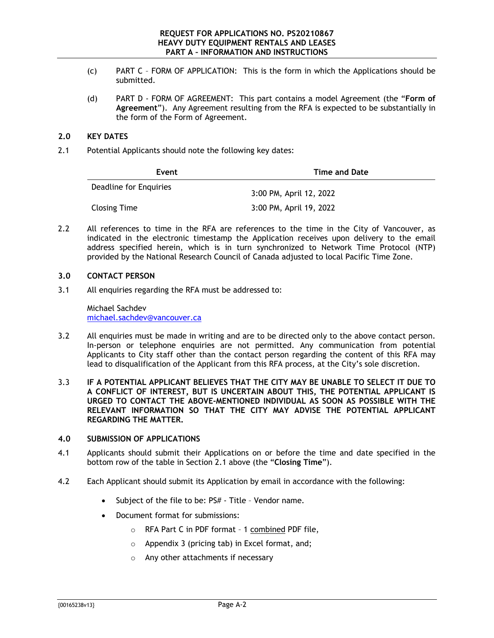- (c) [PART C](#page-9-0) [FORM OF APPLICATION:](#page-9-0) This is the form in which the Applications should be submitted.
- (d) [PART D](#page-33-0) [FORM OF AGREEMENT:](#page-33-0) This part contains a model Agreement (the "**Form of Agreement**"). Any Agreement resulting from the RFA is expected to be substantially in the form of the Form of Agreement.

#### <span id="page-3-0"></span>**2.0 KEY DATES**

<span id="page-3-3"></span>2.1 Potential Applicants should note the following key dates:

| Event                  | <b>Time and Date</b>    |
|------------------------|-------------------------|
| Deadline for Enquiries | 3:00 PM, April 12, 2022 |
| <b>Closing Time</b>    | 3:00 PM, April 19, 2022 |

2.2 All references to time in the RFA are references to the time in the City of Vancouver, as indicated in the electronic timestamp the Application receives upon delivery to the email address specified herein, which is in turn synchronized to Network Time Protocol (NTP) provided by the National Research Council of Canada adjusted to local Pacific Time Zone.

#### <span id="page-3-1"></span>**3.0 CONTACT PERSON**

3.1 All enquiries regarding the RFA must be addressed to:

Michael Sachdev [michael.sachdev@vancouver.ca](mailto:michael.sachdev@vancouver.ca)

- 3.2 All enquiries must be made in writing and are to be directed only to the above contact person. In-person or telephone enquiries are not permitted. Any communication from potential Applicants to City staff other than the contact person regarding the content of this RFA may lead to disqualification of the Applicant from this RFA process, at the City's sole discretion.
- 3.3 **IF A POTENTIAL APPLICANT BELIEVES THAT THE CITY MAY BE UNABLE TO SELECT IT DUE TO A CONFLICT OF INTEREST, BUT IS UNCERTAIN ABOUT THIS, THE POTENTIAL APPLICANT IS URGED TO CONTACT THE ABOVE-MENTIONED INDIVIDUAL AS SOON AS POSSIBLE WITH THE RELEVANT INFORMATION SO THAT THE CITY MAY ADVISE THE POTENTIAL APPLICANT REGARDING THE MATTER.**

#### <span id="page-3-2"></span>**4.0 SUBMISSION OF APPLICATIONS**

- 4.1 Applicants should submit their Applications on or before the time and date specified in the bottom row of the table in Section [2.1](#page-3-3) above (the "**Closing Time**").
- 4.2 Each Applicant should submit its Application by email in accordance with the following:
	- Subject of the file to be: PS# Title Vendor name.
	- Document format for submissions:
		- o RFA [Part C](#page-9-0) in PDF format 1 combined PDF file,
		- o [Appendix 3](#page-23-0) (pricing tab) in Excel format, and;
		- o Any other attachments if necessary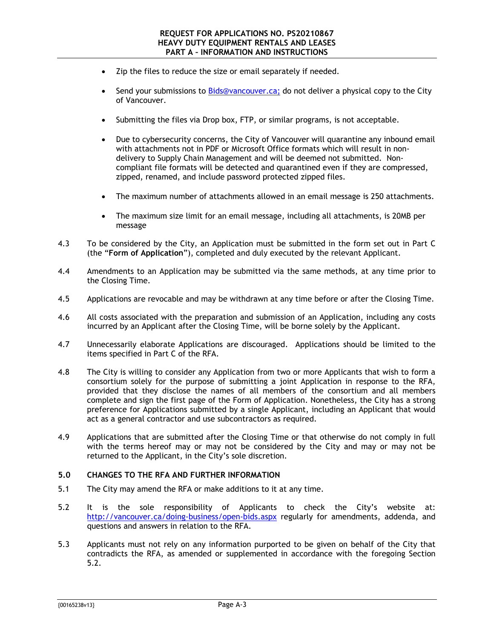- Zip the files to reduce the size or email separately if needed.
- Send your submissions to [Bids@vancouver.ca;](mailto:Bids@vancouver.ca) do not deliver a physical copy to the City of Vancouver.
- Submitting the files via Drop box, FTP, or similar programs, is not acceptable.
- Due to cybersecurity concerns, the City of Vancouver will quarantine any inbound email with attachments not in PDF or Microsoft Office formats which will result in nondelivery to Supply Chain Management and will be deemed not submitted. Noncompliant file formats will be detected and quarantined even if they are compressed, zipped, renamed, and include password protected zipped files.
- The maximum number of attachments allowed in an email message is 250 attachments.
- The maximum size limit for an email message, including all attachments, is 20MB per message
- 4.3 To be considered by the City, an Application must be submitted in the form set out in [Part C](#page-9-0) (the "**Form of Application**"), completed and duly executed by the relevant Applicant.
- 4.4 Amendments to an Application may be submitted via the same methods, at any time prior to the Closing Time.
- 4.5 Applications are revocable and may be withdrawn at any time before or after the Closing Time.
- 4.6 All costs associated with the preparation and submission of an Application, including any costs incurred by an Applicant after the Closing Time, will be borne solely by the Applicant.
- 4.7 Unnecessarily elaborate Applications are discouraged. Applications should be limited to the items specified in [Part C](#page-9-0) of the RFA.
- 4.8 The City is willing to consider any Application from two or more Applicants that wish to form a consortium solely for the purpose of submitting a joint Application in response to the RFA, provided that they disclose the names of all members of the consortium and all members complete and sign the first page of the Form of Application. Nonetheless, the City has a strong preference for Applications submitted by a single Applicant, including an Applicant that would act as a general contractor and use subcontractors as required.
- 4.9 Applications that are submitted after the Closing Time or that otherwise do not comply in full with the terms hereof may or may not be considered by the City and may or may not be returned to the Applicant, in the City's sole discretion.

#### <span id="page-4-0"></span>**5.0 CHANGES TO THE RFA AND FURTHER INFORMATION**

- <span id="page-4-1"></span>5.1 The City may amend the RFA or make additions to it at any time.
- 5.2 It is the sole responsibility of Applicants to check the City's website at: <http://vancouver.ca/doing-business/open-bids.aspx> regularly for amendments, addenda, and questions and answers in relation to the RFA.
- 5.3 Applicants must not rely on any information purported to be given on behalf of the City that contradicts the RFA, as amended or supplemented in accordance with the foregoing Section [5.2.](#page-4-1)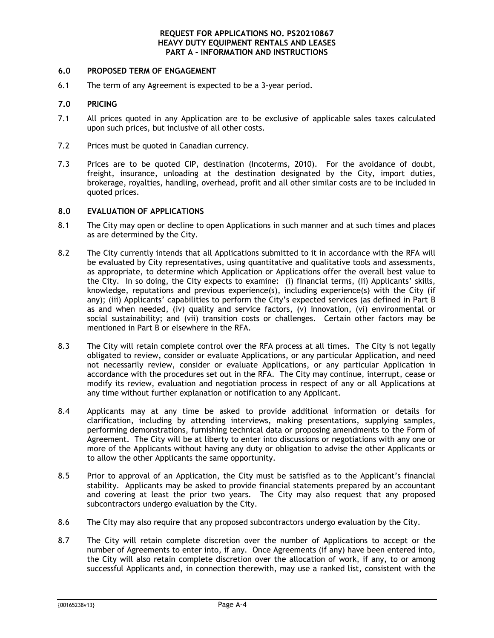#### <span id="page-5-0"></span>**6.0 PROPOSED TERM OF ENGAGEMENT**

<span id="page-5-1"></span>6.1 The term of any Agreement is expected to be a 3-year period.

#### **7.0 PRICING**

- 7.1 All prices quoted in any Application are to be exclusive of applicable sales taxes calculated upon such prices, but inclusive of all other costs.
- 7.2 Prices must be quoted in Canadian currency.
- 7.3 Prices are to be quoted CIP, destination (Incoterms, 2010). For the avoidance of doubt, freight, insurance, unloading at the destination designated by the City, import duties, brokerage, royalties, handling, overhead, profit and all other similar costs are to be included in quoted prices.

#### <span id="page-5-2"></span>**8.0 EVALUATION OF APPLICATIONS**

- 8.1 The City may open or decline to open Applications in such manner and at such times and places as are determined by the City.
- 8.2 The City currently intends that all Applications submitted to it in accordance with the RFA will be evaluated by City representatives, using quantitative and qualitative tools and assessments, as appropriate, to determine which Application or Applications offer the overall best value to the City. In so doing, the City expects to examine: (i) financial terms, (ii) Applicants' skills, knowledge, reputations and previous experience(s), including experience(s) with the City (if any); (iii) Applicants' capabilities to perform the City's expected services (as defined in [Part B](#page-8-0) as and when needed, (iv) quality and service factors, (v) innovation, (vi) environmental or social sustainability; and (vii) transition costs or challenges. Certain other factors may be mentioned in Part B or elsewhere in the RFA.
- 8.3 The City will retain complete control over the RFA process at all times. The City is not legally obligated to review, consider or evaluate Applications, or any particular Application, and need not necessarily review, consider or evaluate Applications, or any particular Application in accordance with the procedures set out in the RFA. The City may continue, interrupt, cease or modify its review, evaluation and negotiation process in respect of any or all Applications at any time without further explanation or notification to any Applicant.
- 8.4 Applicants may at any time be asked to provide additional information or details for clarification, including by attending interviews, making presentations, supplying samples, performing demonstrations, furnishing technical data or proposing amendments to the Form of Agreement. The City will be at liberty to enter into discussions or negotiations with any one or more of the Applicants without having any duty or obligation to advise the other Applicants or to allow the other Applicants the same opportunity.
- 8.5 Prior to approval of an Application, the City must be satisfied as to the Applicant's financial stability. Applicants may be asked to provide financial statements prepared by an accountant and covering at least the prior two years. The City may also request that any proposed subcontractors undergo evaluation by the City.
- 8.6 The City may also require that any proposed subcontractors undergo evaluation by the City.
- 8.7 The City will retain complete discretion over the number of Applications to accept or the number of Agreements to enter into, if any. Once Agreements (if any) have been entered into, the City will also retain complete discretion over the allocation of work, if any, to or among successful Applicants and, in connection therewith, may use a ranked list, consistent with the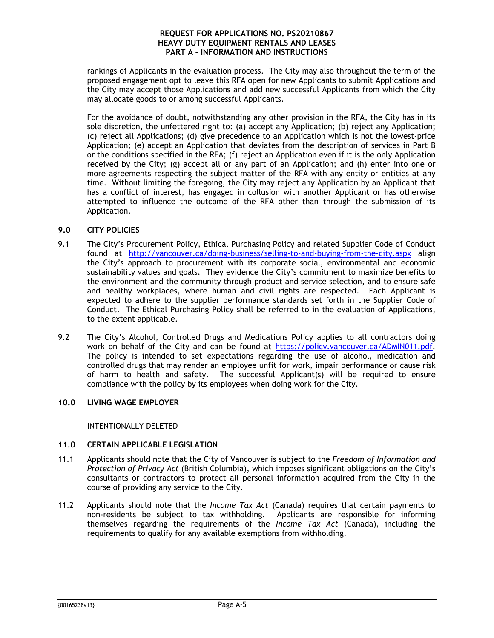rankings of Applicants in the evaluation process. The City may also throughout the term of the proposed engagement opt to leave this RFA open for new Applicants to submit Applications and the City may accept those Applications and add new successful Applicants from which the City may allocate goods to or among successful Applicants.

For the avoidance of doubt, notwithstanding any other provision in the RFA, the City has in its sole discretion, the unfettered right to: (a) accept any Application; (b) reject any Application; (c) reject all Applications; (d) give precedence to an Application which is not the lowest-price Application; (e) accept an Application that deviates from the description of services in [Part B](#page-8-0) or the conditions specified in the RFA; (f) reject an Application even if it is the only Application received by the City; (g) accept all or any part of an Application; and (h) enter into one or more agreements respecting the subject matter of the RFA with any entity or entities at any time. Without limiting the foregoing, the City may reject any Application by an Applicant that has a conflict of interest, has engaged in collusion with another Applicant or has otherwise attempted to influence the outcome of the RFA other than through the submission of its Application.

#### <span id="page-6-0"></span>**9.0 CITY POLICIES**

- 9.1 The City's Procurement Policy, Ethical Purchasing Policy and related Supplier Code of Conduct found at <http://vancouver.ca/doing-business/selling-to-and-buying-from-the-city.aspx> align the City's approach to procurement with its corporate social, environmental and economic sustainability values and goals. They evidence the City's commitment to maximize benefits to the environment and the community through product and service selection, and to ensure safe and healthy workplaces, where human and civil rights are respected. Each Applicant is expected to adhere to the supplier performance standards set forth in the Supplier Code of Conduct. The Ethical Purchasing Policy shall be referred to in the evaluation of Applications, to the extent applicable.
- 9.2 The City's Alcohol, Controlled Drugs and Medications Policy applies to all contractors doing work on behalf of the City and can be found at [https://policy.vancouver.ca/ADMIN011.pdf.](https://policy.vancouver.ca/ADMIN011.pdf) The policy is intended to set expectations regarding the use of alcohol, medication and controlled drugs that may render an employee unfit for work, impair performance or cause risk of harm to health and safety. The successful Applicant(s) will be required to ensure compliance with the policy by its employees when doing work for the City.

### <span id="page-6-1"></span>**10.0 LIVING WAGE EMPLOYER**

INTENTIONALLY DELETED

#### <span id="page-6-2"></span>**11.0 CERTAIN APPLICABLE LEGISLATION**

- 11.1 Applicants should note that the City of Vancouver is subject to the *Freedom of Information and Protection of Privacy Act* (British Columbia), which imposes significant obligations on the City's consultants or contractors to protect all personal information acquired from the City in the course of providing any service to the City.
- 11.2 Applicants should note that the *Income Tax Act* (Canada) requires that certain payments to non-residents be subject to tax withholding. Applicants are responsible for informing themselves regarding the requirements of the *Income Tax Act* (Canada), including the requirements to qualify for any available exemptions from withholding.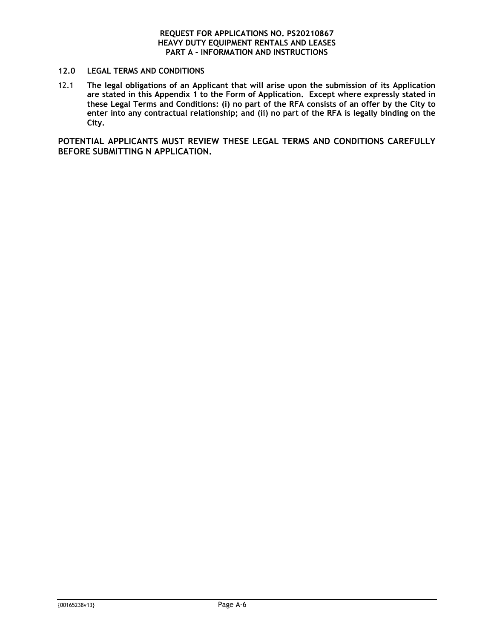#### <span id="page-7-0"></span>**12.0 LEGAL TERMS AND CONDITIONS**

12.1 **The legal obligations of an Applicant that will arise upon the submission of its Application are stated in this Appendix 1 to the Form of Application. Except where expressly stated in these Legal Terms and Conditions: (i) no part of the RFA consists of an offer by the City to enter into any contractual relationship; and (ii) no part of the RFA is legally binding on the City.**

**POTENTIAL APPLICANTS MUST REVIEW THESE LEGAL TERMS AND CONDITIONS CAREFULLY BEFORE SUBMITTING N APPLICATION.**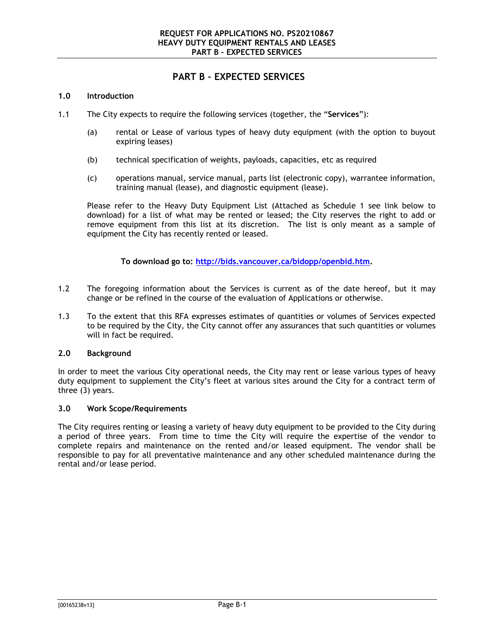## <span id="page-8-0"></span>**PART B – EXPECTED SERVICES**

#### **1.0 Introduction**

- 1.1 The City expects to require the following services (together, the "**Services**"):
	- (a) rental or Lease of various types of heavy duty equipment (with the option to buyout expiring leases)
	- (b) technical specification of weights, payloads, capacities, etc as required
	- (c) operations manual, service manual, parts list (electronic copy), warrantee information, training manual (lease), and diagnostic equipment (lease).

Please refer to the Heavy Duty Equipment List (Attached as Schedule 1 see link below to download) for a list of what may be rented or leased; the City reserves the right to add or remove equipment from this list at its discretion. The list is only meant as a sample of equipment the City has recently rented or leased.

**To download go to: [http://bids.vancouver.ca/bidopp/openbid.htm.](http://bids.vancouver.ca/bidopp/openbid.htm)**

- 1.2 The foregoing information about the Services is current as of the date hereof, but it may change or be refined in the course of the evaluation of Applications or otherwise.
- 1.3 To the extent that this RFA expresses estimates of quantities or volumes of Services expected to be required by the City, the City cannot offer any assurances that such quantities or volumes will in fact be required.

#### **2.0 Background**

In order to meet the various City operational needs, the City may rent or lease various types of heavy duty equipment to supplement the City's fleet at various sites around the City for a contract term of three (3) years.

#### **3.0 Work Scope/Requirements**

The City requires renting or leasing a variety of heavy duty equipment to be provided to the City during a period of three years. From time to time the City will require the expertise of the vendor to complete repairs and maintenance on the rented and/or leased equipment. The vendor shall be responsible to pay for all preventative maintenance and any other scheduled maintenance during the rental and/or lease period.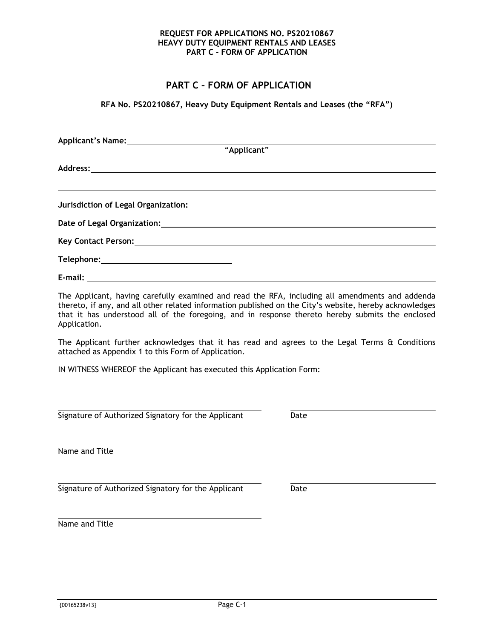## <span id="page-9-0"></span>**PART C – FORM OF APPLICATION**

**RFA No. PS20210867, Heavy Duty Equipment Rentals and Leases (the "RFA")**

| Applicant's Name: <u>Container and September of Applicant</u> |  |  |  |  |
|---------------------------------------------------------------|--|--|--|--|
|                                                               |  |  |  |  |
|                                                               |  |  |  |  |
|                                                               |  |  |  |  |
|                                                               |  |  |  |  |
|                                                               |  |  |  |  |
|                                                               |  |  |  |  |
|                                                               |  |  |  |  |

The Applicant, having carefully examined and read the RFA, including all amendments and addenda thereto, if any, and all other related information published on the City's website, hereby acknowledges that it has understood all of the foregoing, and in response thereto hereby submits the enclosed Application.

The Applicant further acknowledges that it has read and agrees to the Legal Terms & Conditions attached as [Appendix 1](#page-11-0) to this Form of Application.

IN WITNESS WHEREOF the Applicant has executed this Application Form:

Signature of Authorized Signatory for the Applicant Date

Name and Title

Signature of Authorized Signatory for the Applicant Date

Name and Title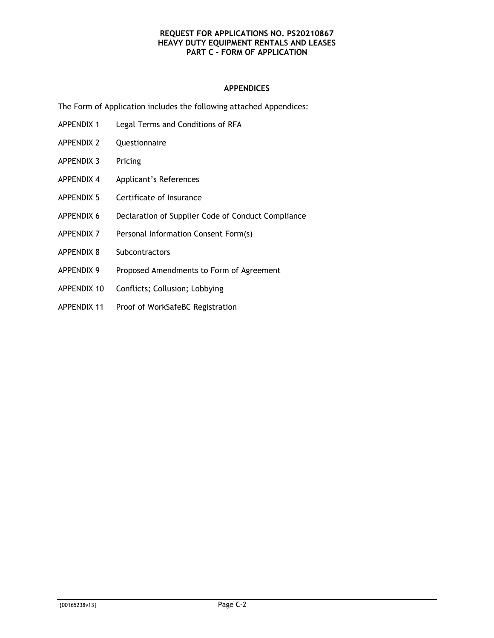#### **APPENDICES**

The Form of Application includes the following attached Appendices:

- [APPENDIX 1](#page-11-0) Legal Terms and Conditions of RFA
- [APPENDIX 2](#page-17-0) Questionnaire
- [APPENDIX 3](#page-23-0) Pricing
- [APPENDIX 4](#page-24-0) Applicant's References
- [APPENDIX 5](#page-25-0) Certificate of Insurance
- [APPENDIX 6](#page-27-0) Declaration of Supplier Code of Conduct Compliance
- [APPENDIX 7](#page-28-0) Personal Information Consent Form(s)
- [APPENDIX 8](#page-29-0) Subcontractors
- [APPENDIX 9](#page-30-0) Proposed Amendments to Form of Agreement
- [APPENDIX 10](#page-31-1) Conflicts; Collusion; Lobbying
- APPENDIX 11 Proof of WorkSafeBC Registration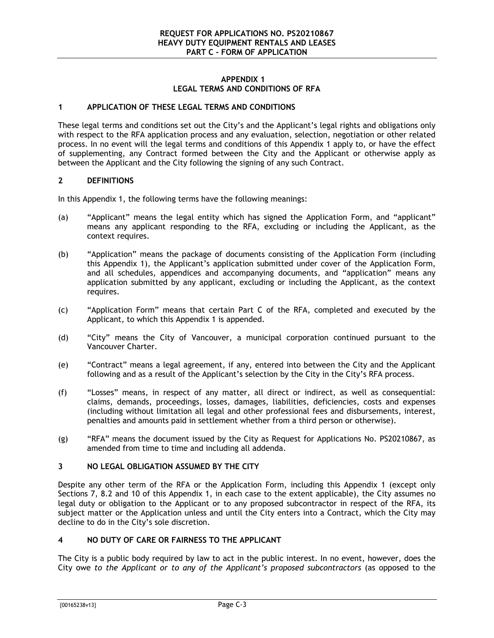#### **APPENDIX 1 LEGAL TERMS AND CONDITIONS OF RFA**

#### <span id="page-11-0"></span>**1 APPLICATION OF THESE LEGAL TERMS AND CONDITIONS**

These legal terms and conditions set out the City's and the Applicant's legal rights and obligations only with respect to the RFA application process and any evaluation, selection, negotiation or other related process. In no event will the legal terms and conditions of this [Appendix 1](#page-11-0) apply to, or have the effect of supplementing, any Contract formed between the City and the Applicant or otherwise apply as between the Applicant and the City following the signing of any such Contract.

#### **2 DEFINITIONS**

In this [Appendix 1,](#page-11-0) the following terms have the following meanings:

- (a) "Applicant" means the legal entity which has signed the Application Form, and "applicant" means any applicant responding to the RFA, excluding or including the Applicant, as the context requires.
- (b) "Application" means the package of documents consisting of the Application Form (including this [Appendix 1\)](#page-11-0), the Applicant's application submitted under cover of the Application Form, and all schedules, appendices and accompanying documents, and "application" means any application submitted by any applicant, excluding or including the Applicant, as the context requires.
- (c) "Application Form" means that certain [Part C](#page-9-0) of the RFA, completed and executed by the Applicant, to which this [Appendix 1](#page-11-0) is appended.
- (d) "City" means the City of Vancouver, a municipal corporation continued pursuant to the Vancouver Charter.
- (e) "Contract" means a legal agreement, if any, entered into between the City and the Applicant following and as a result of the Applicant's selection by the City in the City's RFA process.
- (f) "Losses" means, in respect of any matter, all direct or indirect, as well as consequential: claims, demands, proceedings, losses, damages, liabilities, deficiencies, costs and expenses (including without limitation all legal and other professional fees and disbursements, interest, penalties and amounts paid in settlement whether from a third person or otherwise).
- (g) "RFA" means the document issued by the City as Request for Applications No. PS20210867, as amended from time to time and including all addenda.

#### **3 NO LEGAL OBLIGATION ASSUMED BY THE CITY**

Despite any other term of the RFA or the Application Form, including this [Appendix 1](#page-11-0) (except only Sections [7,](#page-13-0) [8.2](#page-14-1) and [10](#page-15-0) of this [Appendix 1,](#page-11-0) in each case to the extent applicable), the City assumes no legal duty or obligation to the Applicant or to any proposed subcontractor in respect of the RFA, its subject matter or the Application unless and until the City enters into a Contract, which the City may decline to do in the City's sole discretion.

#### **4 NO DUTY OF CARE OR FAIRNESS TO THE APPLICANT**

The City is a public body required by law to act in the public interest. In no event, however, does the City owe *to the Applicant or to any of the Applicant's proposed subcontractors* (as opposed to the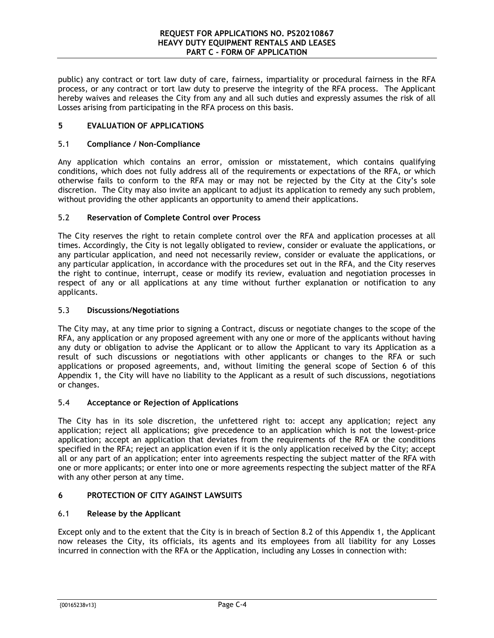public) any contract or tort law duty of care, fairness, impartiality or procedural fairness in the RFA process, or any contract or tort law duty to preserve the integrity of the RFA process.The Applicant hereby waives and releases the City from any and all such duties and expressly assumes the risk of all Losses arising from participating in the RFA process on this basis.

#### **5 EVALUATION OF APPLICATIONS**

#### 5.1 **Compliance / Non-Compliance**

Any application which contains an error, omission or misstatement, which contains qualifying conditions, which does not fully address all of the requirements or expectations of the RFA, or which otherwise fails to conform to the RFA may or may not be rejected by the City at the City's sole discretion. The City may also invite an applicant to adjust its application to remedy any such problem, without providing the other applicants an opportunity to amend their applications.

#### 5.2 **Reservation of Complete Control over Process**

The City reserves the right to retain complete control over the RFA and application processes at all times. Accordingly, the City is not legally obligated to review, consider or evaluate the applications, or any particular application, and need not necessarily review, consider or evaluate the applications, or any particular application, in accordance with the procedures set out in the RFA, and the City reserves the right to continue, interrupt, cease or modify its review, evaluation and negotiation processes in respect of any or all applications at any time without further explanation or notification to any applicants.

#### 5.3 **Discussions/Negotiations**

The City may, at any time prior to signing a Contract, discuss or negotiate changes to the scope of the RFA, any application or any proposed agreement with any one or more of the applicants without having any duty or obligation to advise the Applicant or to allow the Applicant to vary its Application as a result of such discussions or negotiations with other applicants or changes to the RFA or such applications or proposed agreements, and, without limiting the general scope of Section [6](#page-12-0) of this [Appendix 1,](#page-11-0) the City will have no liability to the Applicant as a result of such discussions, negotiations or changes.

#### 5.4 **Acceptance or Rejection of Applications**

The City has in its sole discretion, the unfettered right to: accept any application; reject any application; reject all applications; give precedence to an application which is not the lowest-price application; accept an application that deviates from the requirements of the RFA or the conditions specified in the RFA; reject an application even if it is the only application received by the City; accept all or any part of an application; enter into agreements respecting the subject matter of the RFA with one or more applicants; or enter into one or more agreements respecting the subject matter of the RFA with any other person at any time.

#### <span id="page-12-0"></span>**6 PROTECTION OF CITY AGAINST LAWSUITS**

#### 6.1 **Release by the Applicant**

Except only and to the extent that the City is in breach of Section [8.2](#page-14-1) of this [Appendix 1,](#page-11-0) the Applicant now releases the City, its officials, its agents and its employees from all liability for any Losses incurred in connection with the RFA or the Application, including any Losses in connection with: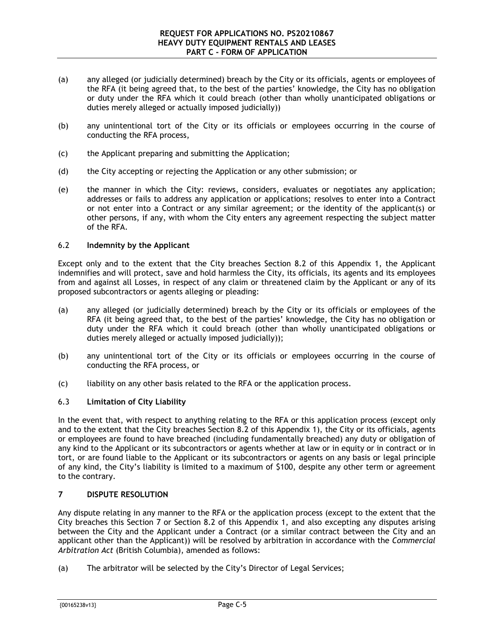- (a) any alleged (or judicially determined) breach by the City or its officials, agents or employees of the RFA (it being agreed that, to the best of the parties' knowledge, the City has no obligation or duty under the RFA which it could breach (other than wholly unanticipated obligations or duties merely alleged or actually imposed judicially))
- (b) any unintentional tort of the City or its officials or employees occurring in the course of conducting the RFA process,
- (c) the Applicant preparing and submitting the Application;
- (d) the City accepting or rejecting the Application or any other submission; or
- (e) the manner in which the City: reviews, considers, evaluates or negotiates any application; addresses or fails to address any application or applications; resolves to enter into a Contract or not enter into a Contract or any similar agreement; or the identity of the applicant(s) or other persons, if any, with whom the City enters any agreement respecting the subject matter of the RFA.

#### 6.2 **Indemnity by the Applicant**

Except only and to the extent that the City breaches Section [8.2](#page-14-1) of this [Appendix 1,](#page-11-0) the Applicant indemnifies and will protect, save and hold harmless the City, its officials, its agents and its employees from and against all Losses, in respect of any claim or threatened claim by the Applicant or any of its proposed subcontractors or agents alleging or pleading:

- (a) any alleged (or judicially determined) breach by the City or its officials or employees of the RFA (it being agreed that, to the best of the parties' knowledge, the City has no obligation or duty under the RFA which it could breach (other than wholly unanticipated obligations or duties merely alleged or actually imposed judicially));
- (b) any unintentional tort of the City or its officials or employees occurring in the course of conducting the RFA process, or
- (c) liability on any other basis related to the RFA or the application process.

#### 6.3 **Limitation of City Liability**

In the event that, with respect to anything relating to the RFA or this application process (except only and to the extent that the City breaches Section [8.2](#page-14-1) of this [Appendix 1\)](#page-11-0), the City or its officials, agents or employees are found to have breached (including fundamentally breached) any duty or obligation of any kind to the Applicant or its subcontractors or agents whether at law or in equity or in contract or in tort, or are found liable to the Applicant or its subcontractors or agents on any basis or legal principle of any kind, the City's liability is limited to a maximum of \$100, despite any other term or agreement to the contrary.

#### <span id="page-13-0"></span>**7 DISPUTE RESOLUTION**

Any dispute relating in any manner to the RFA or the application process (except to the extent that the City breaches this Section [7](#page-13-0) or Section [8.2](#page-14-1) of this [Appendix 1,](#page-11-0) and also excepting any disputes arising between the City and the Applicant under a Contract (or a similar contract between the City and an applicant other than the Applicant)) will be resolved by arbitration in accordance with the *Commercial Arbitration Act* (British Columbia), amended as follows:

(a) The arbitrator will be selected by the City's Director of Legal Services;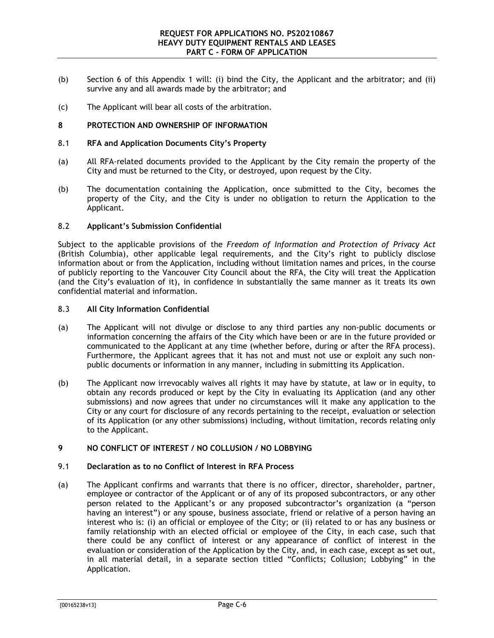- (b) Section [6](#page-12-0) of this [Appendix 1](#page-11-0) will: (i) bind the City, the Applicant and the arbitrator; and (ii) survive any and all awards made by the arbitrator; and
- <span id="page-14-0"></span>(c) The Applicant will bear all costs of the arbitration.

#### **8 PROTECTION AND OWNERSHIP OF INFORMATION**

#### 8.1 **RFA and Application Documents City's Property**

- (a) All RFA-related documents provided to the Applicant by the City remain the property of the City and must be returned to the City, or destroyed, upon request by the City.
- (b) The documentation containing the Application, once submitted to the City, becomes the property of the City, and the City is under no obligation to return the Application to the Applicant.

#### <span id="page-14-1"></span>8.2 **Applicant's Submission Confidential**

Subject to the applicable provisions of the *Freedom of Information and Protection of Privacy Act* (British Columbia), other applicable legal requirements, and the City's right to publicly disclose information about or from the Application, including without limitation names and prices, in the course of publicly reporting to the Vancouver City Council about the RFA, the City will treat the Application (and the City's evaluation of it), in confidence in substantially the same manner as it treats its own confidential material and information.

#### 8.3 **All City Information Confidential**

- (a) The Applicant will not divulge or disclose to any third parties any non-public documents or information concerning the affairs of the City which have been or are in the future provided or communicated to the Applicant at any time (whether before, during or after the RFA process). Furthermore, the Applicant agrees that it has not and must not use or exploit any such nonpublic documents or information in any manner, including in submitting its Application.
- (b) The Applicant now irrevocably waives all rights it may have by statute, at law or in equity, to obtain any records produced or kept by the City in evaluating its Application (and any other submissions) and now agrees that under no circumstances will it make any application to the City or any court for disclosure of any records pertaining to the receipt, evaluation or selection of its Application (or any other submissions) including, without limitation, records relating only to the Applicant.

#### <span id="page-14-2"></span>**9 NO CONFLICT OF INTEREST / NO COLLUSION / NO LOBBYING**

#### <span id="page-14-3"></span>9.1 **Declaration as to no Conflict of Interest in RFA Process**

(a) The Applicant confirms and warrants that there is no officer, director, shareholder, partner, employee or contractor of the Applicant or of any of its proposed subcontractors, or any other person related to the Applicant's or any proposed subcontractor's organization (a "person having an interest") or any spouse, business associate, friend or relative of a person having an interest who is: (i) an official or employee of the City; or (ii) related to or has any business or family relationship with an elected official or employee of the City, in each case, such that there could be any conflict of interest or any appearance of conflict of interest in the evaluation or consideration of the Application by the City, and, in each case, except as set out, in all material detail, in a separate section titled "Conflicts; Collusion; Lobbying" in the Application.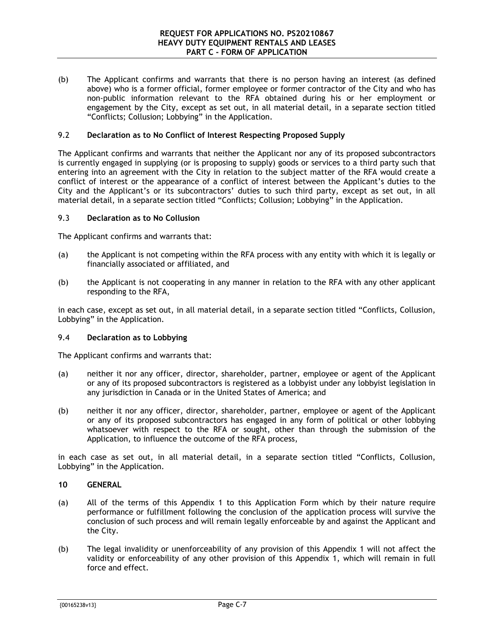(b) The Applicant confirms and warrants that there is no person having an interest (as defined above) who is a former official, former employee or former contractor of the City and who has non-public information relevant to the RFA obtained during his or her employment or engagement by the City, except as set out, in all material detail, in a separate section titled "Conflicts; Collusion; Lobbying" in the Application.

#### <span id="page-15-1"></span>9.2 **Declaration as to No Conflict of Interest Respecting Proposed Supply**

The Applicant confirms and warrants that neither the Applicant nor any of its proposed subcontractors is currently engaged in supplying (or is proposing to supply) goods or services to a third party such that entering into an agreement with the City in relation to the subject matter of the RFA would create a conflict of interest or the appearance of a conflict of interest between the Applicant's duties to the City and the Applicant's or its subcontractors' duties to such third party, except as set out, in all material detail, in a separate section titled "Conflicts; Collusion; Lobbying" in the Application.

#### <span id="page-15-2"></span>9.3 **Declaration as to No Collusion**

The Applicant confirms and warrants that:

- (a) the Applicant is not competing within the RFA process with any entity with which it is legally or financially associated or affiliated, and
- (b) the Applicant is not cooperating in any manner in relation to the RFA with any other applicant responding to the RFA,

in each case, except as set out, in all material detail, in a separate section titled "Conflicts, Collusion, Lobbying" in the Application.

#### 9.4 **Declaration as to Lobbying**

The Applicant confirms and warrants that:

- (a) neither it nor any officer, director, shareholder, partner, employee or agent of the Applicant or any of its proposed subcontractors is registered as a lobbyist under any lobbyist legislation in any jurisdiction in Canada or in the United States of America; and
- (b) neither it nor any officer, director, shareholder, partner, employee or agent of the Applicant or any of its proposed subcontractors has engaged in any form of political or other lobbying whatsoever with respect to the RFA or sought, other than through the submission of the Application, to influence the outcome of the RFA process,

in each case as set out, in all material detail, in a separate section titled "Conflicts, Collusion, Lobbying" in the Application.

#### <span id="page-15-0"></span>**10 GENERAL**

- (a) All of the terms of this [Appendix 1](#page-11-0) to this Application Form which by their nature require performance or fulfillment following the conclusion of the application process will survive the conclusion of such process and will remain legally enforceable by and against the Applicant and the City.
- (b) The legal invalidity or unenforceability of any provision of this [Appendix 1](#page-11-0) will not affect the validity or enforceability of any other provision of this [Appendix 1,](#page-11-0) which will remain in full force and effect.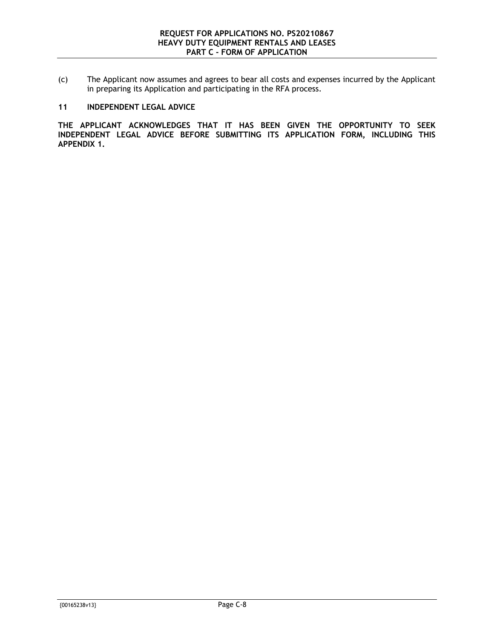(c) The Applicant now assumes and agrees to bear all costs and expenses incurred by the Applicant in preparing its Application and participating in the RFA process.

#### **11 INDEPENDENT LEGAL ADVICE**

**THE APPLICANT ACKNOWLEDGES THAT IT HAS BEEN GIVEN THE OPPORTUNITY TO SEEK INDEPENDENT LEGAL ADVICE BEFORE SUBMITTING ITS APPLICATION FORM, INCLUDING THIS [APPENDIX 1.](#page-11-0)**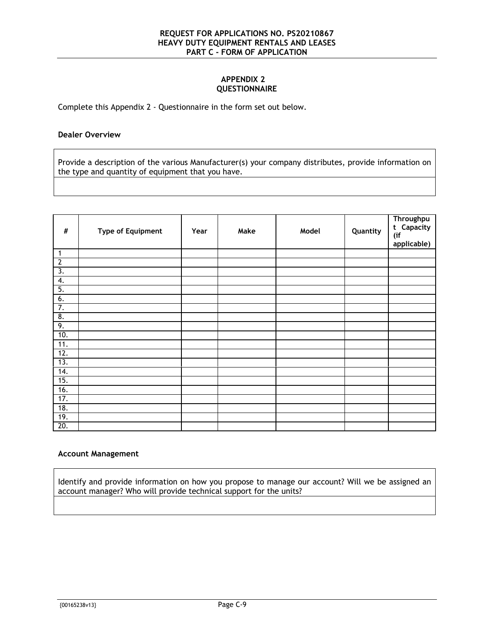#### **APPENDIX 2 QUESTIONNAIRE**

<span id="page-17-0"></span>Complete this [Appendix 2](#page-17-0) - Questionnaire in the form set out below.

#### **Dealer Overview**

Provide a description of the various Manufacturer(s) your company distributes, provide information on the type and quantity of equipment that you have.

| $\#$                  | <b>Type of Equipment</b> | Year | Make | Model | Quantity | <b>Throughpu</b><br>t Capacity<br>(if<br>applicable) |
|-----------------------|--------------------------|------|------|-------|----------|------------------------------------------------------|
| $\mathbf{1}$          |                          |      |      |       |          |                                                      |
| $\overline{2}$        |                          |      |      |       |          |                                                      |
| $\overline{3}$ .      |                          |      |      |       |          |                                                      |
| 4.                    |                          |      |      |       |          |                                                      |
| 5.                    |                          |      |      |       |          |                                                      |
| 6.                    |                          |      |      |       |          |                                                      |
| 7.                    |                          |      |      |       |          |                                                      |
| $\overline{\delta}$ . |                          |      |      |       |          |                                                      |
| 9.                    |                          |      |      |       |          |                                                      |
| 10.                   |                          |      |      |       |          |                                                      |
| 11.                   |                          |      |      |       |          |                                                      |
| 12.                   |                          |      |      |       |          |                                                      |
| 13.                   |                          |      |      |       |          |                                                      |
| 14.                   |                          |      |      |       |          |                                                      |
| 15.                   |                          |      |      |       |          |                                                      |
| 16.                   |                          |      |      |       |          |                                                      |
| 17.                   |                          |      |      |       |          |                                                      |
| 18.                   |                          |      |      |       |          |                                                      |
| 19.                   |                          |      |      |       |          |                                                      |
| 20.                   |                          |      |      |       |          |                                                      |

#### **Account Management**

Identify and provide information on how you propose to manage our account? Will we be assigned an account manager? Who will provide technical support for the units?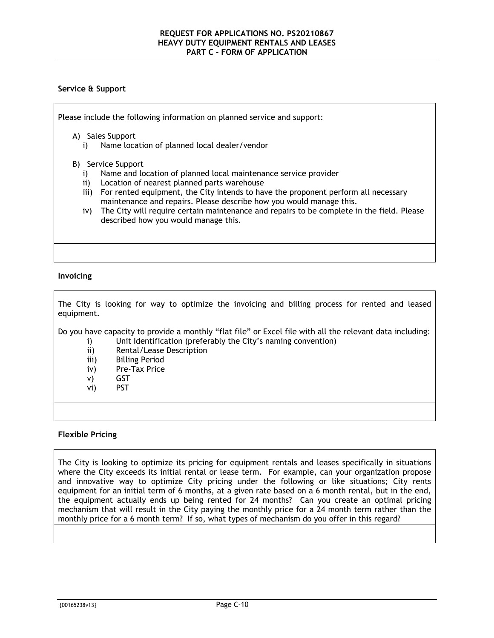#### **Service & Support**

Please include the following information on planned service and support:

A) Sales Support

i) Name location of planned local dealer/vendor

#### B) Service Support

- i) Name and location of planned local maintenance service provider
- ii) Location of nearest planned parts warehouse
- iii) For rented equipment, the City intends to have the proponent perform all necessary maintenance and repairs. Please describe how you would manage this.
- iv) The City will require certain maintenance and repairs to be complete in the field. Please described how you would manage this.

#### **Invoicing**

The City is looking for way to optimize the invoicing and billing process for rented and leased equipment.

Do you have capacity to provide a monthly "flat file" or Excel file with all the relevant data including: i) Unit Identification (preferably the City's naming convention)

- 
- ii) Rental/Lease Description
- iii) Billing Period
- iv) Pre-Tax Price
- v) GST
- vi) PST

#### **Flexible Pricing**

The City is looking to optimize its pricing for equipment rentals and leases specifically in situations where the City exceeds its initial rental or lease term. For example, can your organization propose and innovative way to optimize City pricing under the following or like situations; City rents equipment for an initial term of 6 months, at a given rate based on a 6 month rental, but in the end, the equipment actually ends up being rented for 24 months? Can you create an optimal pricing mechanism that will result in the City paying the monthly price for a 24 month term rather than the monthly price for a 6 month term? If so, what types of mechanism do you offer in this regard?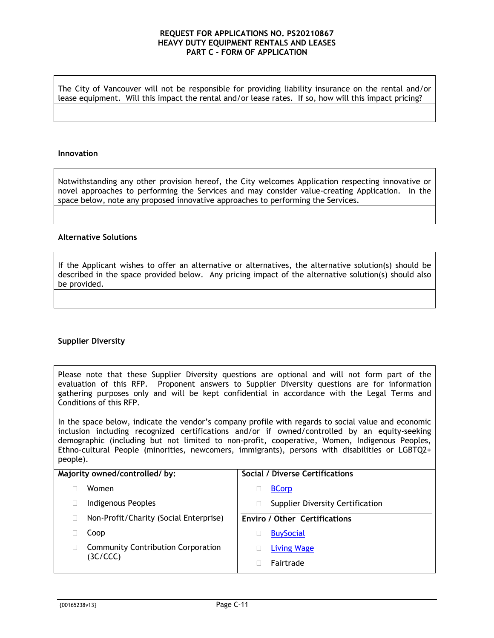The City of Vancouver will not be responsible for providing liability insurance on the rental and/or lease equipment. Will this impact the rental and/or lease rates. If so, how will this impact pricing?

#### **Innovation**

Notwithstanding any other provision hereof, the City welcomes Application respecting innovative or novel approaches to performing the Services and may consider value-creating Application. In the space below, note any proposed innovative approaches to performing the Services.

#### **Alternative Solutions**

If the Applicant wishes to offer an alternative or alternatives, the alternative solution(s) should be described in the space provided below. Any pricing impact of the alternative solution(s) should also be provided.

#### **Supplier Diversity**

Please note that these Supplier Diversity questions are optional and will not form part of the evaluation of this RFP. Proponent answers to Supplier Diversity questions are for information gathering purposes only and will be kept confidential in accordance with the Legal Terms and Conditions of this RFP.

In the space below, indicate the vendor's company profile with regards to social value and economic inclusion including recognized certifications and/or if owned/controlled by an equity-seeking demographic (including but not limited to non-profit, cooperative, Women, Indigenous Peoples, Ethno-cultural People (minorities, newcomers, immigrants), persons with disabilities or LGBTQ2+ people).

| Majority owned/controlled/by: |                                           | <b>Social / Diverse Certifications</b>  |
|-------------------------------|-------------------------------------------|-----------------------------------------|
|                               | Women                                     | <b>BCorp</b>                            |
|                               | Indigenous Peoples                        | <b>Supplier Diversity Certification</b> |
|                               | Non-Profit/Charity (Social Enterprise)    | <b>Enviro / Other Certifications</b>    |
|                               | Coop                                      | <b>BuySocial</b>                        |
|                               | <b>Community Contribution Corporation</b> | <b>Living Wage</b>                      |
|                               | (3C/CCC)                                  | Fairtrade                               |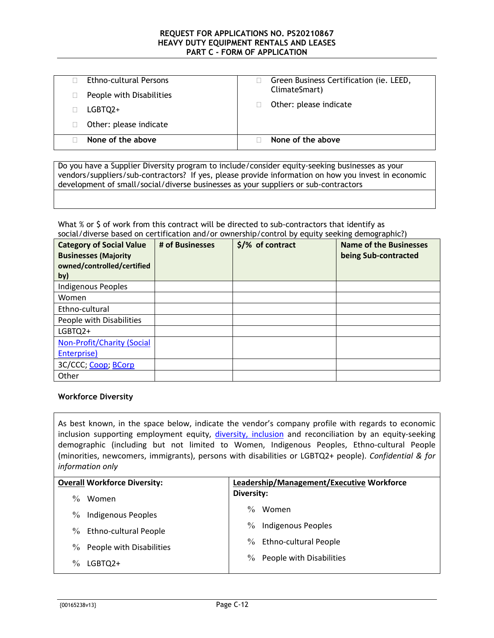| Ethno-cultural Persons<br>People with Disabilities | Green Business Certification (ie. LEED,<br>ClimateSmart) |
|----------------------------------------------------|----------------------------------------------------------|
| LGBTQ2+                                            | Other: please indicate                                   |
| Other: please indicate                             |                                                          |
| None of the above                                  | None of the above                                        |

Do you have a Supplier Diversity program to include/consider equity-seeking businesses as your vendors/suppliers/sub-contractors? If yes, please provide information on how you invest in economic development of small/social/diverse businesses as your suppliers or sub-contractors

#### What % or \$ of work from this contract will be directed to sub-contractors that identify as social/diverse based on certification and/or ownership/control by equity seeking demographic?)

| <b>Category of Social Value</b><br><b>Businesses (Majority</b><br>owned/controlled/certified<br>by) | # of Businesses | $$$ /% of contract | <b>Name of the Businesses</b><br>being Sub-contracted |
|-----------------------------------------------------------------------------------------------------|-----------------|--------------------|-------------------------------------------------------|
| <b>Indigenous Peoples</b>                                                                           |                 |                    |                                                       |
| Women                                                                                               |                 |                    |                                                       |
| Ethno-cultural                                                                                      |                 |                    |                                                       |
| People with Disabilities                                                                            |                 |                    |                                                       |
| LGBTQ2+                                                                                             |                 |                    |                                                       |
| <b>Non-Profit/Charity (Social</b>                                                                   |                 |                    |                                                       |
| Enterprise)                                                                                         |                 |                    |                                                       |
| 3C/CCC; Coop; BCorp                                                                                 |                 |                    |                                                       |
| Other                                                                                               |                 |                    |                                                       |

#### **Workforce Diversity**

As best known, in the space below, indicate the vendor's company profile with regards to economic inclusion supporting employment equity, *diversity*, *inclusion* and reconciliation by an equity-seeking demographic (including but not limited to Women, Indigenous Peoples, Ethno-cultural People (minorities, newcomers, immigrants), persons with disabilities or LGBTQ2+ people). *Confidential & for information only*

| <b>Overall Workforce Diversity:</b> |                              | Leadership/Management/Executive Workforce |                              |
|-------------------------------------|------------------------------|-------------------------------------------|------------------------------|
| $\frac{0}{0}$                       | Women                        | Diversity:                                |                              |
| $\%$                                | Indigenous Peoples           | $\frac{0}{0}$                             | Women                        |
| $\%$                                | <b>Ethno-cultural People</b> | $\%$                                      | Indigenous Peoples           |
| $\%$                                | People with Disabilities     | $\%$                                      | <b>Ethno-cultural People</b> |
| $\frac{0}{0}$                       | LGBTQ2+                      | $\frac{0}{0}$                             | People with Disabilities     |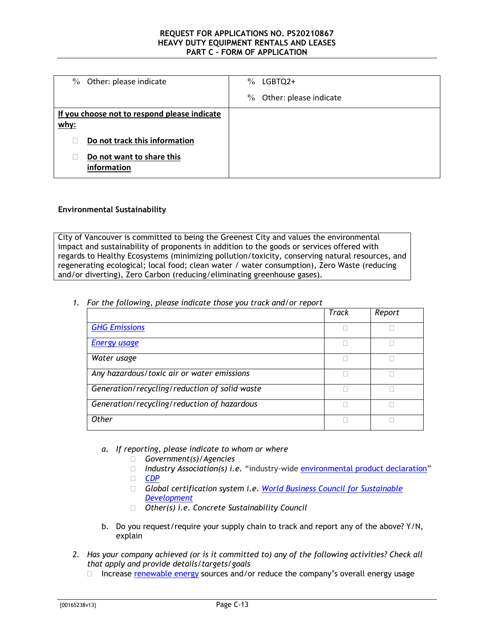| Other: please indicate<br>$\%$               | $\%$<br>LGBTQ2+                |
|----------------------------------------------|--------------------------------|
|                                              | $\%$<br>Other: please indicate |
| If you choose not to respond please indicate |                                |
| $w$ hy:                                      |                                |
| Do not track this information                |                                |
| Do not want to share this<br>information     |                                |

#### **Environmental Sustainability**

City of Vancouver is committed to being the Greenest City and values the environmental impact and sustainability of proponents in addition to the goods or services offered with regards to Healthy Ecosystems (minimizing pollution/toxicity, conserving natural resources, and regenerating ecological; local food; clean water / water consumption), Zero Waste (reducing and/or diverting), Zero Carbon (reducing/eliminating greenhouse gases).

*1. For the following, please indicate those you track and/or report* 

|                                               | Track | Report |
|-----------------------------------------------|-------|--------|
| <b>GHG Emissions</b>                          |       |        |
| <b>Energy usage</b>                           |       |        |
| Water usage                                   |       |        |
| Any hazardous/toxic air or water emissions    |       |        |
| Generation/recycling/reduction of solid waste |       |        |
| Generation/recycling/reduction of hazardous   |       |        |
| <b>Other</b>                                  |       |        |

- *a. If reporting, please indicate to whom or where*
	- *Government(s)/Agencies*
	- *Industry Association(s) i.e.* "industry-wide [environmental product declaration"](https://www.environdec.com/)
	- *[CDP](https://www.cdp.net/en)*
	- *Global certification system i.e. [World Business Council for Sustainable](https://www.wbcsd.org/)  [Development](https://www.wbcsd.org/)*
	- *Other(s) i.e. Concrete Sustainability Council*
- b. Do you request/require your supply chain to track and report any of the above? Y/N, explain
- *2. Has your company achieved (or is it committed to) any of the following activities? Check all that apply and provide details/targets/goals*
	- $\Box$  Increase [renewable energy](https://www.nrcan.gc.ca/science-data/data-analysis/energy-data-analysis/energy-facts/renewable-energy-facts/20069) sources and/or reduce the company's overall energy usage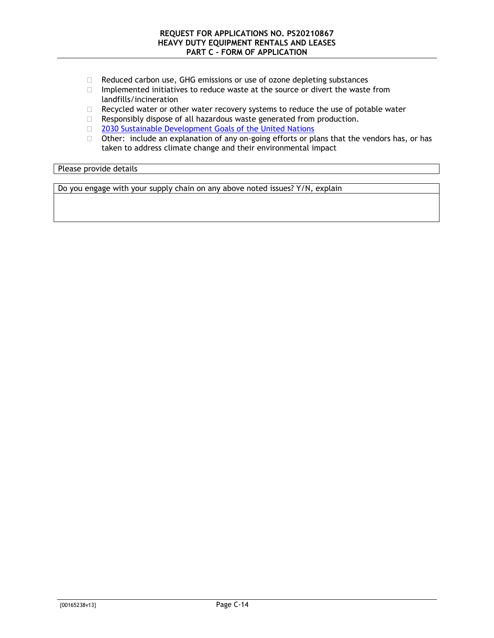- □ Reduced carbon use, GHG emissions or use of ozone depleting substances
- $\Box$  Implemented initiatives to reduce waste at the source or divert the waste from landfills/incineration
- $\Box$  Recycled water or other water recovery systems to reduce the use of potable water
- Responsibly dispose of all hazardous waste generated from production.
- [2030 Sustainable Development Goals of the United Nations](https://sustainabledevelopment.un.org/?menu=1300)
- $\Box$  Other: include an explanation of any on-going efforts or plans that the vendors has, or has taken to address climate change and their environmental impact

Please provide details

Do you engage with your supply chain on any above noted issues? Y/N, explain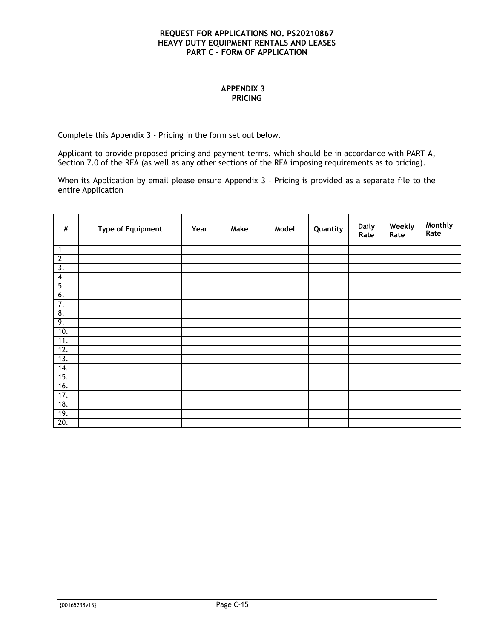#### **APPENDIX 3 PRICING**

<span id="page-23-0"></span>Complete this [Appendix 3](#page-23-0) - Pricing in the form set out below.

Applicant to provide proposed pricing and payment terms, which should be in accordance with [PART A,](#page-2-0) Section [7.0](#page-5-1) of the RFA (as well as any other sections of the RFA imposing requirements as to pricing).

When its Application by email please ensure [Appendix 3](#page-23-0) - Pricing is provided as a separate file to the entire Application

| $\#$             | <b>Type of Equipment</b> | Year | Make | Model | Quantity | <b>Daily</b><br>Rate | Weekly<br>Rate | Monthly<br>Rate |
|------------------|--------------------------|------|------|-------|----------|----------------------|----------------|-----------------|
| $\mathbf{1}$     |                          |      |      |       |          |                      |                |                 |
| $\overline{2}$   |                          |      |      |       |          |                      |                |                 |
| $\overline{3}$ . |                          |      |      |       |          |                      |                |                 |
| 4.               |                          |      |      |       |          |                      |                |                 |
| 5.               |                          |      |      |       |          |                      |                |                 |
| 6.               |                          |      |      |       |          |                      |                |                 |
| 7.               |                          |      |      |       |          |                      |                |                 |
| 8.               |                          |      |      |       |          |                      |                |                 |
| 9.               |                          |      |      |       |          |                      |                |                 |
| 10.              |                          |      |      |       |          |                      |                |                 |
| 11.              |                          |      |      |       |          |                      |                |                 |
| 12.              |                          |      |      |       |          |                      |                |                 |
| 13.              |                          |      |      |       |          |                      |                |                 |
| 14.              |                          |      |      |       |          |                      |                |                 |
| 15.              |                          |      |      |       |          |                      |                |                 |
| 16.              |                          |      |      |       |          |                      |                |                 |
| 17.              |                          |      |      |       |          |                      |                |                 |
| 18.              |                          |      |      |       |          |                      |                |                 |
| 19.              |                          |      |      |       |          |                      |                |                 |
| 20.              |                          |      |      |       |          |                      |                |                 |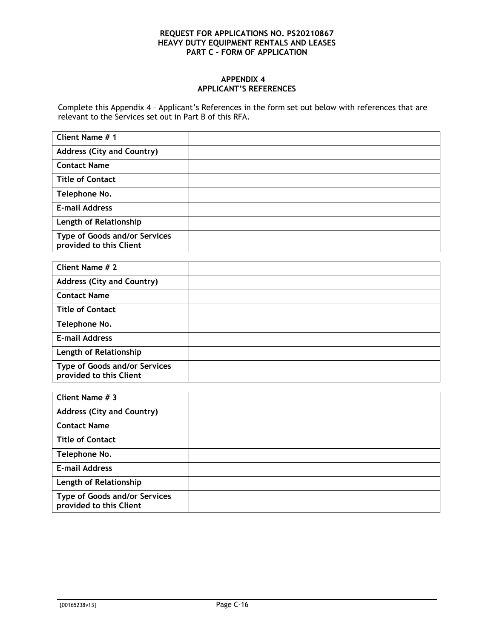#### **APPENDIX 4 APPLICANT'S REFERENCES**

<span id="page-24-0"></span>Complete this [Appendix 4](#page-24-0) – Applicant's References in the form set out below with references that are relevant to the Services set out in [Part B](#page-8-0) of this RFA.

| Client Name # 1                                                 |  |
|-----------------------------------------------------------------|--|
| <b>Address (City and Country)</b>                               |  |
| <b>Contact Name</b>                                             |  |
| <b>Title of Contact</b>                                         |  |
| Telephone No.                                                   |  |
| <b>E-mail Address</b>                                           |  |
| Length of Relationship                                          |  |
| <b>Type of Goods and/or Services</b><br>provided to this Client |  |

| Client Name # 2                                                 |  |
|-----------------------------------------------------------------|--|
| <b>Address (City and Country)</b>                               |  |
| <b>Contact Name</b>                                             |  |
| <b>Title of Contact</b>                                         |  |
| Telephone No.                                                   |  |
| <b>E-mail Address</b>                                           |  |
| Length of Relationship                                          |  |
| <b>Type of Goods and/or Services</b><br>provided to this Client |  |

| Client Name # 3                                          |  |
|----------------------------------------------------------|--|
| <b>Address (City and Country)</b>                        |  |
| <b>Contact Name</b>                                      |  |
| <b>Title of Contact</b>                                  |  |
| Telephone No.                                            |  |
| <b>E-mail Address</b>                                    |  |
| Length of Relationship                                   |  |
| Type of Goods and/or Services<br>provided to this Client |  |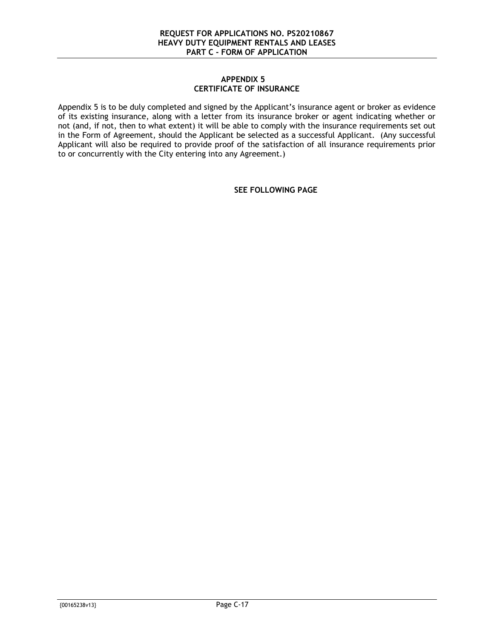#### **APPENDIX 5 CERTIFICATE OF INSURANCE**

<span id="page-25-0"></span>[Appendix 5](#page-25-0) is to be duly completed and signed by the Applicant's insurance agent or broker as evidence of its existing insurance, along with a letter from its insurance broker or agent indicating whether or not (and, if not, then to what extent) it will be able to comply with the insurance requirements set out in the Form of Agreement, should the Applicant be selected as a successful Applicant. (Any successful Applicant will also be required to provide proof of the satisfaction of all insurance requirements prior to or concurrently with the City entering into any Agreement.)

**SEE FOLLOWING PAGE**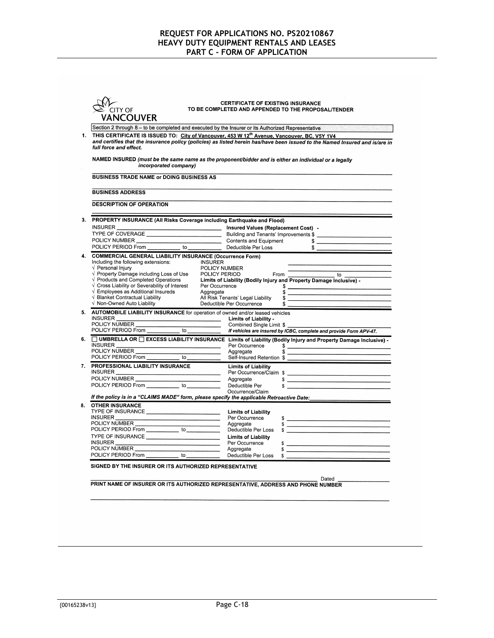| CITY OF    |
|------------|
| VANCOLIVER |

# CERTIFICATE OF EXISTING INSURANCE<br>TO BE COMPLETED AND APPENDED TO THE PROPOSAL/TENDER

|                                                 | Section 2 through 8 - to be completed and executed by the Insurer or its Authorized Representative                                                                                                                                                   |                                                                                                                                                                                                                                                                                                                                       |  |  |  |
|-------------------------------------------------|------------------------------------------------------------------------------------------------------------------------------------------------------------------------------------------------------------------------------------------------------|---------------------------------------------------------------------------------------------------------------------------------------------------------------------------------------------------------------------------------------------------------------------------------------------------------------------------------------|--|--|--|
| 1.                                              | THIS CERTIFICATE IS ISSUED TO: City of Vancouver, 453 W 12th Avenue, Vancouver, BC, V5Y 1V4<br>and certifies that the insurance policy (policies) as listed herein has/have been issued to the Named Insured and is/are in<br>full force and effect. |                                                                                                                                                                                                                                                                                                                                       |  |  |  |
|                                                 |                                                                                                                                                                                                                                                      | NAMED INSURED (must be the same name as the proponent/bidder and is either an individual or a legally                                                                                                                                                                                                                                 |  |  |  |
|                                                 | incorporated company)                                                                                                                                                                                                                                |                                                                                                                                                                                                                                                                                                                                       |  |  |  |
| <b>BUSINESS TRADE NAME or DOING BUSINESS AS</b> |                                                                                                                                                                                                                                                      |                                                                                                                                                                                                                                                                                                                                       |  |  |  |
|                                                 | <b>BUSINESS ADDRESS</b>                                                                                                                                                                                                                              |                                                                                                                                                                                                                                                                                                                                       |  |  |  |
|                                                 | <b>DESCRIPTION OF OPERATION</b>                                                                                                                                                                                                                      |                                                                                                                                                                                                                                                                                                                                       |  |  |  |
|                                                 |                                                                                                                                                                                                                                                      | 3. PROPERTY INSURANCE (All Risks Coverage including Earthquake and Flood)                                                                                                                                                                                                                                                             |  |  |  |
|                                                 |                                                                                                                                                                                                                                                      |                                                                                                                                                                                                                                                                                                                                       |  |  |  |
|                                                 |                                                                                                                                                                                                                                                      |                                                                                                                                                                                                                                                                                                                                       |  |  |  |
|                                                 |                                                                                                                                                                                                                                                      |                                                                                                                                                                                                                                                                                                                                       |  |  |  |
|                                                 |                                                                                                                                                                                                                                                      | $\begin{array}{c}\n\circ \\ \bullet \\ \hline\n\end{array}$                                                                                                                                                                                                                                                                           |  |  |  |
| 4.                                              | <b>COMMERCIAL GENERAL LIABILITY INSURANCE (Occurrence Form)</b>                                                                                                                                                                                      |                                                                                                                                                                                                                                                                                                                                       |  |  |  |
|                                                 | Including the following extensions: INSURER                                                                                                                                                                                                          |                                                                                                                                                                                                                                                                                                                                       |  |  |  |
|                                                 | $\sqrt{}$ Personal Injury                                                                                                                                                                                                                            | POLICY NUMBER<br>POLICY PERIOD From                                                                                                                                                                                                                                                                                                   |  |  |  |
|                                                 | √ Property Damage including Loss of Use                                                                                                                                                                                                              |                                                                                                                                                                                                                                                                                                                                       |  |  |  |
|                                                 | $\sqrt{\ }$ Products and Completed Operations<br>$\sqrt{2}$ Cross Liability or Severability of Interest                                                                                                                                              | Limits of Liability (Bodily Injury and Property Damage Inclusive) -                                                                                                                                                                                                                                                                   |  |  |  |
|                                                 | $\sqrt{\phantom{a}}$ Employees as Additional Insureds<br>Aggregate                                                                                                                                                                                   | Per Occurrence<br>$\frac{1}{2}$                                                                                                                                                                                                                                                                                                       |  |  |  |
|                                                 | √ Blanket Contractual Liability                                                                                                                                                                                                                      | All Risk Tenants' Legal Liability<br>$\frac{1}{\sqrt{2}}$                                                                                                                                                                                                                                                                             |  |  |  |
|                                                 | √ Non-Owned Auto Liability                                                                                                                                                                                                                           | Deductible Per Occurrence<br>$\frac{1}{1}$                                                                                                                                                                                                                                                                                            |  |  |  |
|                                                 | 5. AUTOMOBILE LIABILITY INSURANCE for operation of owned and/or leased vehicles                                                                                                                                                                      |                                                                                                                                                                                                                                                                                                                                       |  |  |  |
|                                                 |                                                                                                                                                                                                                                                      | Limits of Liability -                                                                                                                                                                                                                                                                                                                 |  |  |  |
|                                                 |                                                                                                                                                                                                                                                      | Combined Single Limit \$                                                                                                                                                                                                                                                                                                              |  |  |  |
|                                                 |                                                                                                                                                                                                                                                      | If vehicles are insured by ICBC, complete and provide Form APV-47.                                                                                                                                                                                                                                                                    |  |  |  |
|                                                 |                                                                                                                                                                                                                                                      | 6. UMBRELLA OR O EXCESS LIABILITY INSURANCE Limits of Liability (Bodily Injury and Property Damage Inclusive) -                                                                                                                                                                                                                       |  |  |  |
|                                                 |                                                                                                                                                                                                                                                      | Per Occurrence \$<br>Aggregate                                                                                                                                                                                                                                                                                                        |  |  |  |
|                                                 |                                                                                                                                                                                                                                                      | $\sim$<br>Self-Insured Retention \$                                                                                                                                                                                                                                                                                                   |  |  |  |
|                                                 | 7. PROFESSIONAL LIABILITY INSURANCE                                                                                                                                                                                                                  |                                                                                                                                                                                                                                                                                                                                       |  |  |  |
|                                                 |                                                                                                                                                                                                                                                      | <b>Limits of Liability</b>                                                                                                                                                                                                                                                                                                            |  |  |  |
|                                                 | POLICY NUMBER                                                                                                                                                                                                                                        | Aggregate                                                                                                                                                                                                                                                                                                                             |  |  |  |
|                                                 | POLICY PERIOD From _____________ to _____________                                                                                                                                                                                                    | $$$ $$$<br>Deductible Per                                                                                                                                                                                                                                                                                                             |  |  |  |
|                                                 |                                                                                                                                                                                                                                                      | Occurrence/Claim                                                                                                                                                                                                                                                                                                                      |  |  |  |
|                                                 |                                                                                                                                                                                                                                                      | If the policy is in a "CLAIMS MADE" form, please specify the applicable Retroactive Date: ____________________                                                                                                                                                                                                                        |  |  |  |
| 8.                                              | <b>OTHER INSURANCE</b>                                                                                                                                                                                                                               |                                                                                                                                                                                                                                                                                                                                       |  |  |  |
|                                                 | TYPE OF INSURANCE                                                                                                                                                                                                                                    | <b>Limits of Liability</b>                                                                                                                                                                                                                                                                                                            |  |  |  |
|                                                 | INSURER<br>POLICY NUMBER                                                                                                                                                                                                                             | Per Occurrence<br>$\frac{1}{2}$                                                                                                                                                                                                                                                                                                       |  |  |  |
|                                                 |                                                                                                                                                                                                                                                      | Aggregate<br>$\frac{1}{2}$ $\frac{1}{2}$ $\frac{1}{2}$ $\frac{1}{2}$ $\frac{1}{2}$ $\frac{1}{2}$ $\frac{1}{2}$ $\frac{1}{2}$ $\frac{1}{2}$ $\frac{1}{2}$ $\frac{1}{2}$ $\frac{1}{2}$ $\frac{1}{2}$ $\frac{1}{2}$ $\frac{1}{2}$ $\frac{1}{2}$ $\frac{1}{2}$ $\frac{1}{2}$ $\frac{1}{2}$ $\frac{1}{2}$ $\frac{1}{2}$ $\frac{1}{2}$      |  |  |  |
|                                                 | POLICY PERIOD From to the to the state of the state of the state of the state of the state of the state of the                                                                                                                                       | Deductible Per Loss                                                                                                                                                                                                                                                                                                                   |  |  |  |
|                                                 | TYPE OF INSURANCE                                                                                                                                                                                                                                    | <b>Limits of Liability</b>                                                                                                                                                                                                                                                                                                            |  |  |  |
|                                                 | MSURER MEDIA Per Occurring Per Occurring Per Occurring Per Occurring Per Occurring Per Occurring Per Occurring Per Occurring Per Occurring Per Occurring Per Occurring Per Occurring Per Occurring Per Occurring Per Occurring                       | Per Occurrence<br>$\frac{1}{2}$ $\frac{1}{2}$ $\frac{1}{2}$ $\frac{1}{2}$ $\frac{1}{2}$ $\frac{1}{2}$ $\frac{1}{2}$ $\frac{1}{2}$ $\frac{1}{2}$ $\frac{1}{2}$ $\frac{1}{2}$ $\frac{1}{2}$ $\frac{1}{2}$ $\frac{1}{2}$ $\frac{1}{2}$ $\frac{1}{2}$ $\frac{1}{2}$ $\frac{1}{2}$ $\frac{1}{2}$ $\frac{1}{2}$ $\frac{1}{2}$ $\frac{1}{2}$ |  |  |  |
|                                                 | POLICY PERIOD From to to the contract of the contract of the contract of the contract of the contract of the contract of the contract of the contract of the contract of the contract of the contract of the contract of the c                       | Deductible Per Loss                                                                                                                                                                                                                                                                                                                   |  |  |  |
|                                                 |                                                                                                                                                                                                                                                      |                                                                                                                                                                                                                                                                                                                                       |  |  |  |

PRINT NAME OF INSURER OR ITS AUTHORIZED REPRESENTATIVE, ADDRESS AND PHONE NUMBER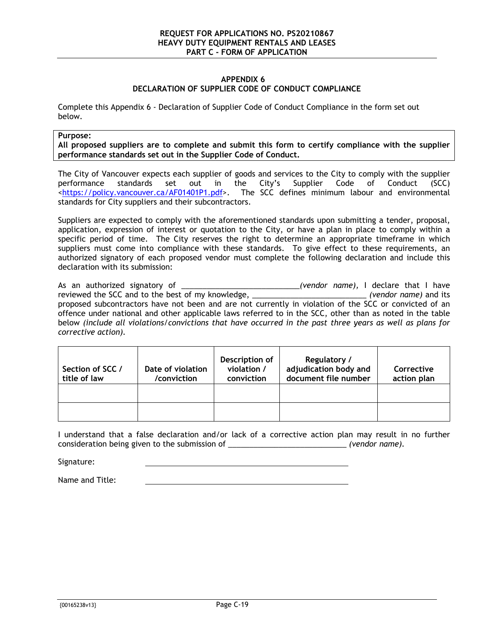#### **APPENDIX 6 DECLARATION OF SUPPLIER CODE OF CONDUCT COMPLIANCE**

<span id="page-27-0"></span>Complete this [Appendix 6](#page-27-0) - Declaration of Supplier Code of Conduct Compliance in the form set out below.

#### **Purpose:**

**All proposed suppliers are to complete and submit this form to certify compliance with the supplier performance standards set out in the Supplier Code of Conduct.**

The City of Vancouver expects each supplier of goods and services to the City to comply with the supplier performance standards set out in the City's Supplier Code of Conduct (SCC) [<https://policy.vancouver.ca/AF01401P1.pdf>](https://policy.vancouver.ca/AF01401P1.pdf). The SCC defines minimum labour and environmental standards for City suppliers and their subcontractors.

Suppliers are expected to comply with the aforementioned standards upon submitting a tender, proposal, application, expression of interest or quotation to the City, or have a plan in place to comply within a specific period of time. The City reserves the right to determine an appropriate timeframe in which suppliers must come into compliance with these standards. To give effect to these requirements, an authorized signatory of each proposed vendor must complete the following declaration and include this declaration with its submission:

As an authorized signatory of \_\_\_\_\_\_\_\_\_\_\_\_\_\_\_\_\_\_\_\_\_\_\_\_\_\_\_\_*(vendor name),* I declare that I have reviewed the SCC and to the best of my knowledge, \_\_\_\_\_\_\_\_\_\_\_\_\_\_\_\_\_\_\_\_\_\_\_\_\_\_\_ *(vendor name)* and its proposed subcontractors have not been and are not currently in violation of the SCC or convicted of an offence under national and other applicable laws referred to in the SCC, other than as noted in the table below *(include all violations/convictions that have occurred in the past three years as well as plans for corrective action).*

| Section of SCC /<br>title of law | Date of violation<br>/conviction | Description of<br>violation /<br>conviction | Regulatory /<br>adjudication body and<br>document file number | Corrective<br>action plan |
|----------------------------------|----------------------------------|---------------------------------------------|---------------------------------------------------------------|---------------------------|
|                                  |                                  |                                             |                                                               |                           |
|                                  |                                  |                                             |                                                               |                           |

I understand that a false declaration and/or lack of a corrective action plan may result in no further consideration being given to the submission of \_\_\_\_\_\_\_\_\_\_\_\_\_\_\_\_\_\_\_\_\_\_\_\_\_\_\_\_ *(vendor name).*

Signature:

Name and Title: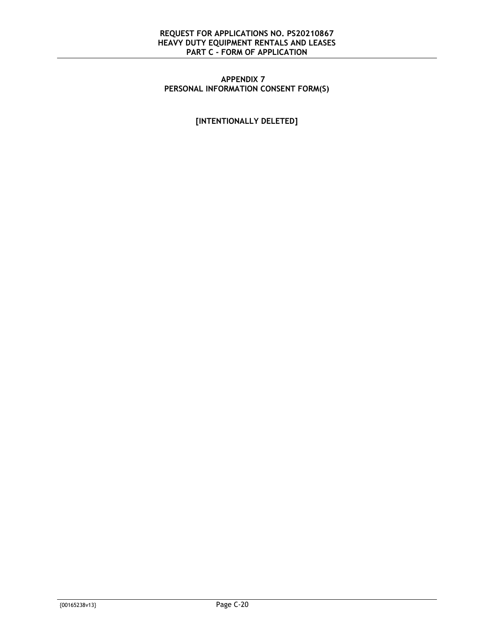#### <span id="page-28-0"></span>**APPENDIX 7 PERSONAL INFORMATION CONSENT FORM(S)**

**[INTENTIONALLY DELETED]**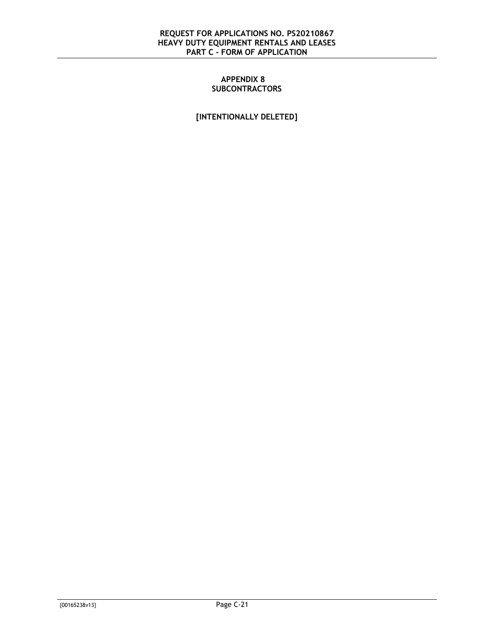#### **APPENDIX 8 SUBCONTRACTORS**

<span id="page-29-0"></span>**[INTENTIONALLY DELETED]**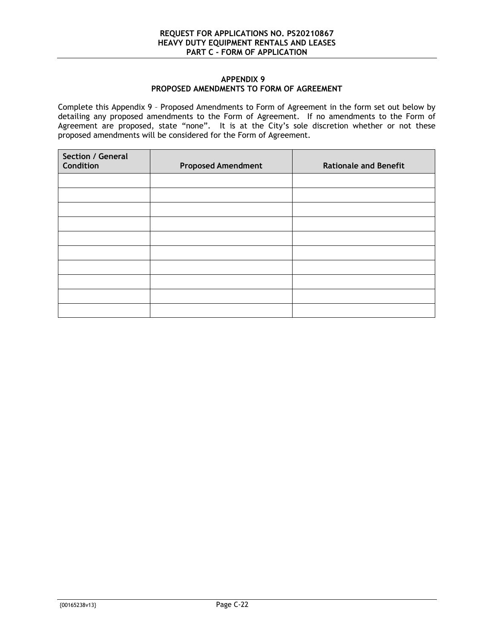#### **APPENDIX 9 PROPOSED AMENDMENTS TO FORM OF AGREEMENT**

<span id="page-30-0"></span>Complete this [Appendix 9](#page-30-0) – Proposed Amendments to Form of Agreement in the form set out below by detailing any proposed amendments to the Form of Agreement. If no amendments to the Form of Agreement are proposed, state "none". It is at the City's sole discretion whether or not these proposed amendments will be considered for the Form of Agreement.

| Section / General<br>Condition | <b>Proposed Amendment</b> | <b>Rationale and Benefit</b> |
|--------------------------------|---------------------------|------------------------------|
|                                |                           |                              |
|                                |                           |                              |
|                                |                           |                              |
|                                |                           |                              |
|                                |                           |                              |
|                                |                           |                              |
|                                |                           |                              |
|                                |                           |                              |
|                                |                           |                              |
|                                |                           |                              |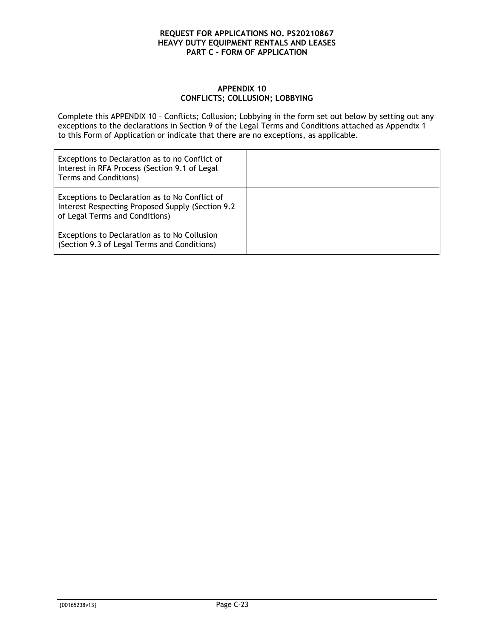#### **APPENDIX 10 CONFLICTS; COLLUSION; LOBBYING**

<span id="page-31-1"></span><span id="page-31-0"></span>Complete this [APPENDIX 10](#page-31-0) – Conflicts; Collusion; Lobbying in the form set out below by setting out any exceptions to the declarations in Section [9](#page-14-2) of the Legal Terms and Conditions attached as [Appendix 1](#page-11-0) to this Form of Application or indicate that there are no exceptions, as applicable.

| Exceptions to Declaration as to no Conflict of<br>Interest in RFA Process (Section 9.1 of Legal<br>Terms and Conditions)              |  |
|---------------------------------------------------------------------------------------------------------------------------------------|--|
| Exceptions to Declaration as to No Conflict of<br>Interest Respecting Proposed Supply (Section 9.2)<br>of Legal Terms and Conditions) |  |
| Exceptions to Declaration as to No Collusion<br>(Section 9.3 of Legal Terms and Conditions)                                           |  |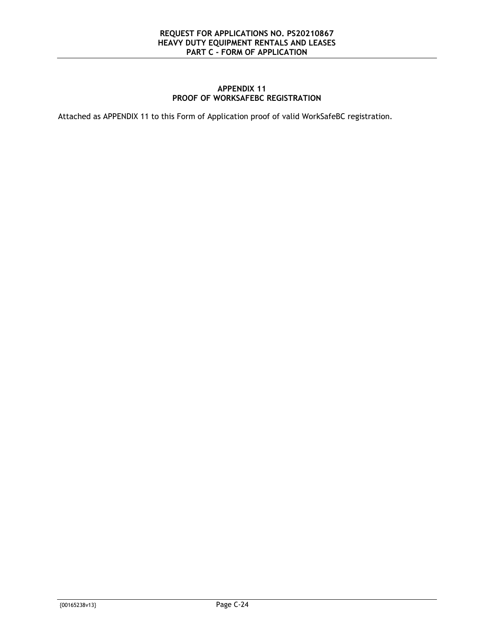#### **APPENDIX 11 PROOF OF WORKSAFEBC REGISTRATION**

<span id="page-32-0"></span>Attached as [APPENDIX 11](#page-32-0) to this Form of Application proof of valid WorkSafeBC registration.